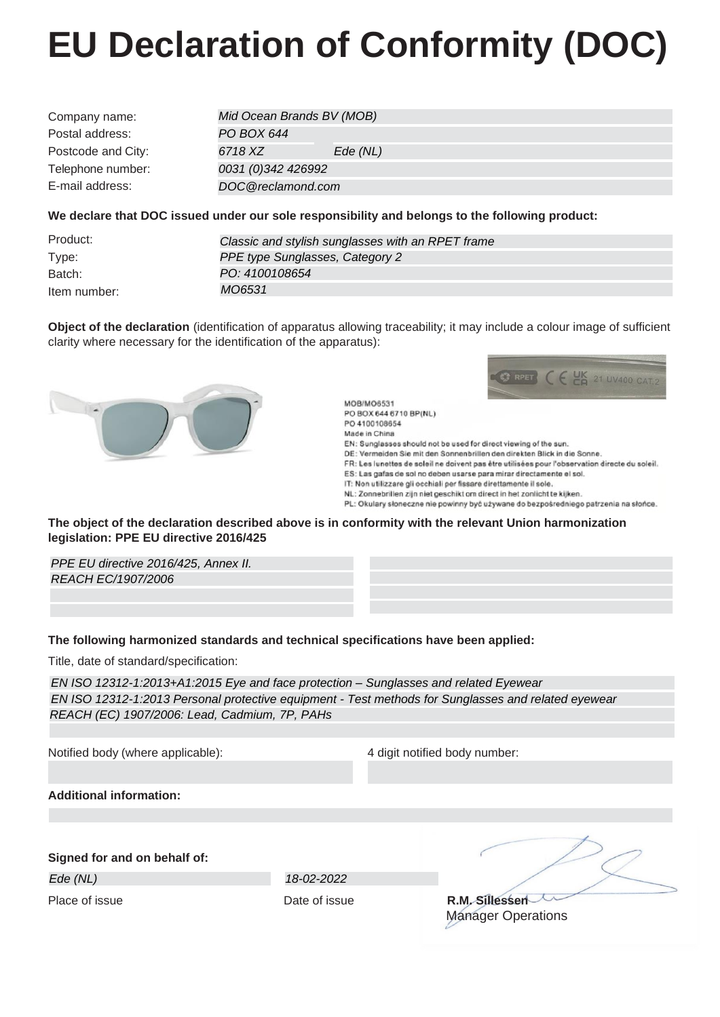## **EU Declaration of Conformity (DOC)**

| Company name:      | Mid Ocean Brands BV (MOB) |         |  |
|--------------------|---------------------------|---------|--|
| Postal address:    | PO BOX 644                |         |  |
| Postcode and City: | 6718 XZ                   | Ede(NL) |  |
| Telephone number:  | 0031 (0)342 426992        |         |  |
| E-mail address:    | DOC@reclamond.com         |         |  |
|                    |                           |         |  |

## **We declare that DOC issued under our sole responsibility and belongs to the following product:**

| Product:     | Classic and stylish sunglasses with an RPET frame |
|--------------|---------------------------------------------------|
| Type:        | PPE type Sunglasses, Category 2                   |
| Batch:       | PO: 4100108654                                    |
| Item number: | MO6531                                            |

**Object of the declaration** (identification of apparatus allowing traceability; it may include a colour image of sufficient clarity where necessary for the identification of the apparatus):





MOR/MO6531 PO BOX 644 6710 BP(NL) PO 4100108654 Made in China EN: Sunglasses should not be used for direct viewing of the sun. DE: Vermeiden Sie mit den Sonnenbrillen den direkten Blick in die Sonne. FR: Les lunettes de soleil ne doivent pas être utilisées pour l'observation directe du soleil. ES: Las gafas de sol no deben usarse para mirar directamente el sol. IT: Non utilizzare gli occhiali per fissare direttamente il sole. NL: Zonnebrillen zijn niet geschikt om direct in het zonlicht te kijken. PL: Okulary słoneczne nie powinny być używane do bezpośredniego patrzenia na słońce.

**The object of the declaration described above is in conformity with the relevant Union harmonization legislation: PPE EU directive 2016/425**

*PPE EU directive 2016/425, Annex II. REACH EC/1907/2006*

## **The following harmonized standards and technical specifications have been applied:**

Title, date of standard/specification:

*EN ISO 12312-1:2013+A1:2015 Eye and face protection – Sunglasses and related Eyewear EN ISO 12312-1:2013 Personal protective equipment - Test methods for Sunglasses and related eyewear REACH (EC) 1907/2006: Lead, Cadmium, 7P, PAHs*

Notified body (where applicable): 4 digit notified body number:

**Additional information:**

**Signed for and on behalf of:**

*Ede (NL) 18-02-2022*

Place of issue **Contact Contact Contact Contact Contact Contact Contact Contact Contact Contact Contact Contact Contact Contact Contact Contact Contact Contact Contact Contact Contact Contact Contact Contact Contact Contac** Manager Operations